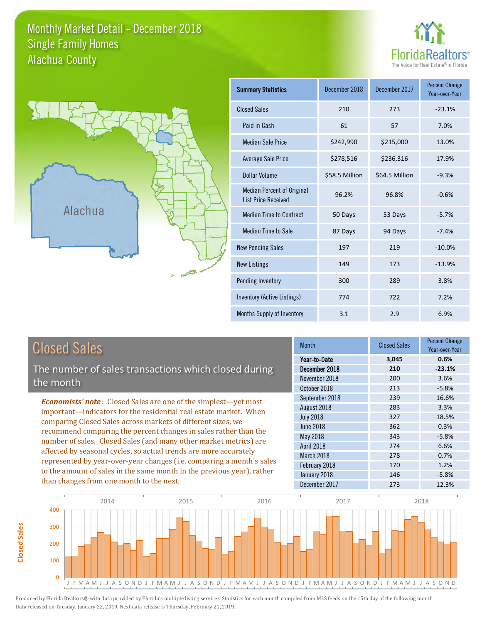#### Monthly Market Detail - December 2018 Alachua County Single Family Homes





| <b>Summary Statistics</b>                                       | December 2018  | December 2017  | <b>Percent Change</b><br>Year-over-Year |
|-----------------------------------------------------------------|----------------|----------------|-----------------------------------------|
| <b>Closed Sales</b>                                             | 210            | 273            | $-23.1%$                                |
| Paid in Cash                                                    | 61             | 57             | 7.0%                                    |
| <b>Median Sale Price</b>                                        | \$242,990      | \$215,000      | 13.0%                                   |
| <b>Average Sale Price</b>                                       | \$278,516      | \$236,316      | 17.9%                                   |
| Dollar Volume                                                   | \$58.5 Million | \$64.5 Million | $-9.3%$                                 |
| <b>Median Percent of Original</b><br><b>List Price Received</b> | 96.2%          | 96.8%          | $-0.6%$                                 |
| <b>Median Time to Contract</b>                                  | 50 Days        | 53 Days        | $-5.7%$                                 |
| <b>Median Time to Sale</b>                                      | 87 Days        | 94 Days        | $-7.4%$                                 |
| <b>New Pending Sales</b>                                        | 197            | 219            | $-10.0%$                                |
| <b>New Listings</b>                                             | 149            | 173            | $-13.9%$                                |
| Pending Inventory                                               | 300            | 289            | 3.8%                                    |
| Inventory (Active Listings)                                     | 774            | 722            | 7.2%                                    |
| Months Supply of Inventory                                      | 3.1            | 2.9            | 6.9%                                    |

**Closed Sales**

Closed Sales

The number of sales transactions which closed during the month

*Economists' note* : Closed Sales are one of the simplest—yet most important—indicators for the residential real estate market. When comparing Closed Sales across markets of different sizes, we recommend comparing the percent changes in sales rather than the number of sales. Closed Sales (and many other market metrics) are affected by seasonal cycles, so actual trends are more accurately represented by year-over-year changes (i.e. comparing a month's sales to the amount of sales in the same month in the previous year), rather than changes from one month to the next.

| <b>Month</b>     | <b>Closed Sales</b> | <b>Percent Change</b><br>Year-over-Year |
|------------------|---------------------|-----------------------------------------|
| Year-to-Date     | 3,045               | 0.6%                                    |
| December 2018    | 210                 | $-23.1%$                                |
| November 2018    | 200                 | 3.6%                                    |
| October 2018     | 213                 | $-5.8%$                                 |
| September 2018   | 239                 | 16.6%                                   |
| August 2018      | 283                 | 3.3%                                    |
| <b>July 2018</b> | 327                 | 18.5%                                   |
| <b>June 2018</b> | 362                 | 0.3%                                    |
| May 2018         | 343                 | $-5.8%$                                 |
| April 2018       | 274                 | 6.6%                                    |
| March 2018       | 278                 | 0.7%                                    |
| February 2018    | 170                 | 1.2%                                    |
| January 2018     | 146                 | $-5.8%$                                 |
| December 2017    | 273                 | 12.3%                                   |

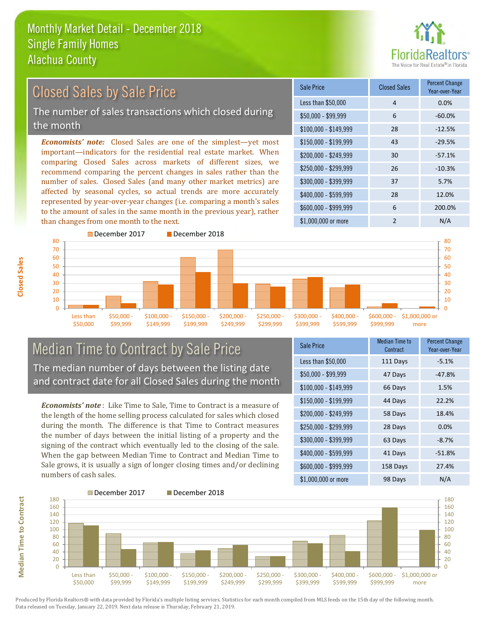

# Closed Sales by Sale Price

The number of sales transactions which closed during the month

*Economists' note:* Closed Sales are one of the simplest—yet most important—indicators for the residential real estate market. When comparing Closed Sales across markets of different sizes, we recommend comparing the percent changes in sales rather than the number of sales. Closed Sales (and many other market metrics) are affected by seasonal cycles, so actual trends are more accurately represented by year-over-year changes (i.e. comparing a month's sales to the amount of sales in the same month in the previous year), rather than changes from one month to the next.

| Sale Price            | <b>Closed Sales</b> | <b>Percent Change</b><br>Year-over-Year |
|-----------------------|---------------------|-----------------------------------------|
| Less than \$50,000    | $\overline{4}$      | 0.0%                                    |
| $$50,000 - $99,999$   | 6                   | $-60.0%$                                |
| $$100,000 - $149,999$ | 28                  | $-12.5%$                                |
| $$150,000 - $199,999$ | 43                  | $-29.5%$                                |
| \$200,000 - \$249,999 | 30                  | $-57.1%$                                |
| \$250,000 - \$299,999 | 26                  | $-10.3%$                                |
| \$300,000 - \$399,999 | 37                  | 5.7%                                    |
| \$400,000 - \$599,999 | 28                  | 12.0%                                   |
| \$600,000 - \$999,999 | 6                   | 200.0%                                  |
| \$1,000,000 or more   | $\mathfrak{p}$      | N/A                                     |



#### Median Time to Contract by Sale Price The median number of days between the listing date and contract date for all Closed Sales during the month

*Economists' note* : Like Time to Sale, Time to Contract is a measure of the length of the home selling process calculated for sales which closed during the month. The difference is that Time to Contract measures the number of days between the initial listing of a property and the signing of the contract which eventually led to the closing of the sale. When the gap between Median Time to Contract and Median Time to Sale grows, it is usually a sign of longer closing times and/or declining numbers of cash sales.

| Sale Price            | <b>Median Time to</b><br>Contract | <b>Percent Change</b><br>Year-over-Year |
|-----------------------|-----------------------------------|-----------------------------------------|
| Less than \$50,000    | 111 Days                          | $-5.1%$                                 |
| $$50,000 - $99,999$   | 47 Days                           | $-47.8%$                                |
| $$100,000 - $149,999$ | 66 Days                           | 1.5%                                    |
| \$150,000 - \$199,999 | 44 Days                           | 22.2%                                   |
| \$200,000 - \$249,999 | 58 Days                           | 18.4%                                   |
| \$250,000 - \$299,999 | 28 Days                           | 0.0%                                    |
| \$300,000 - \$399,999 | 63 Days                           | $-8.7%$                                 |
| \$400,000 - \$599,999 | 41 Days                           | $-51.8%$                                |
| \$600,000 - \$999,999 | 158 Days                          | 27.4%                                   |
| \$1,000,000 or more   | 98 Days                           | N/A                                     |



Produced by Florida Realtors® with data provided by Florida's multiple listing services. Statistics for each month compiled from MLS feeds on the 15th day of the following month. Data released on Tuesday, January 22, 2019. Next data release is Thursday, February 21, 2019.

**Median Time to Contract**

**Median Time to Contract**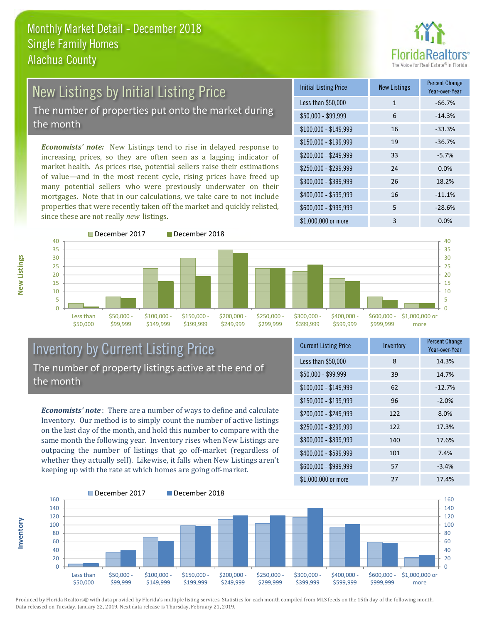

# New Listings by Initial Listing Price

The number of properties put onto the market during the month

*Economists' note:* New Listings tend to rise in delayed response to increasing prices, so they are often seen as a lagging indicator of market health. As prices rise, potential sellers raise their estimations of value—and in the most recent cycle, rising prices have freed up many potential sellers who were previously underwater on their mortgages. Note that in our calculations, we take care to not include properties that were recently taken off the market and quickly relisted, since these are not really *new* listings.

| <b>Initial Listing Price</b> | New Listings | <b>Percent Change</b><br>Year-over-Year |
|------------------------------|--------------|-----------------------------------------|
| Less than \$50,000           | $\mathbf{1}$ | $-66.7%$                                |
| $$50,000 - $99,999$          | 6            | $-14.3%$                                |
| $$100,000 - $149,999$        | 16           | $-33.3%$                                |
| $$150,000 - $199,999$        | 19           | $-36.7%$                                |
| \$200,000 - \$249,999        | 33           | $-5.7%$                                 |
| \$250,000 - \$299,999        | 24           | 0.0%                                    |
| \$300,000 - \$399,999        | 26           | 18.2%                                   |
| \$400,000 - \$599,999        | 16           | $-11.1%$                                |
| \$600,000 - \$999,999        | 5            | $-28.6%$                                |
| \$1,000,000 or more          | 3            | 0.0%                                    |



### Inventory by Current Listing Price The number of property listings active at the end of the month

*Economists' note* : There are a number of ways to define and calculate Inventory. Our method is to simply count the number of active listings on the last day of the month, and hold this number to compare with the same month the following year. Inventory rises when New Listings are outpacing the number of listings that go off-market (regardless of whether they actually sell). Likewise, it falls when New Listings aren't keeping up with the rate at which homes are going off-market.

| <b>Current Listing Price</b> | Inventory | <b>Percent Change</b><br>Year-over-Year |
|------------------------------|-----------|-----------------------------------------|
| Less than \$50,000           | 8         | 14.3%                                   |
| $$50,000 - $99,999$          | 39        | 14.7%                                   |
| $$100,000 - $149,999$        | 62        | $-12.7%$                                |
| $$150,000 - $199,999$        | 96        | $-2.0%$                                 |
| \$200,000 - \$249,999        | 122       | 8.0%                                    |
| \$250,000 - \$299,999        | 122       | 17.3%                                   |
| \$300,000 - \$399,999        | 140       | 17.6%                                   |
| \$400,000 - \$599,999        | 101       | 7.4%                                    |
| \$600,000 - \$999,999        | 57        | $-3.4%$                                 |
| \$1,000,000 or more          | 27        | 17.4%                                   |



Produced by Florida Realtors® with data provided by Florida's multiple listing services. Statistics for each month compiled from MLS feeds on the 15th day of the following month. Data released on Tuesday, January 22, 2019. Next data release is Thursday, February 21, 2019.

**Inventory**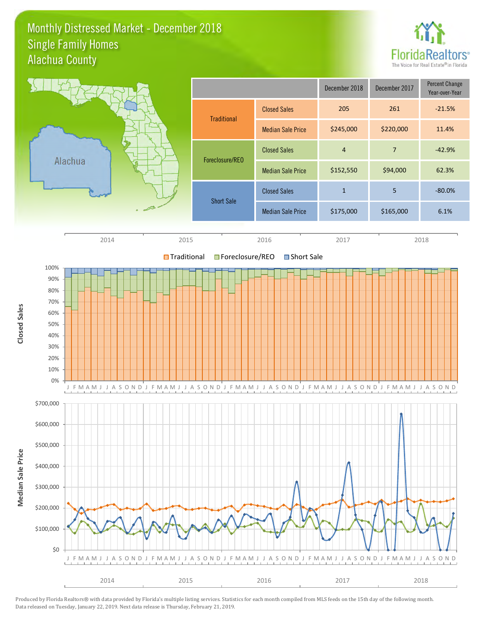#### Monthly Distressed Market - December 2018 Alachua County Single Family Homes



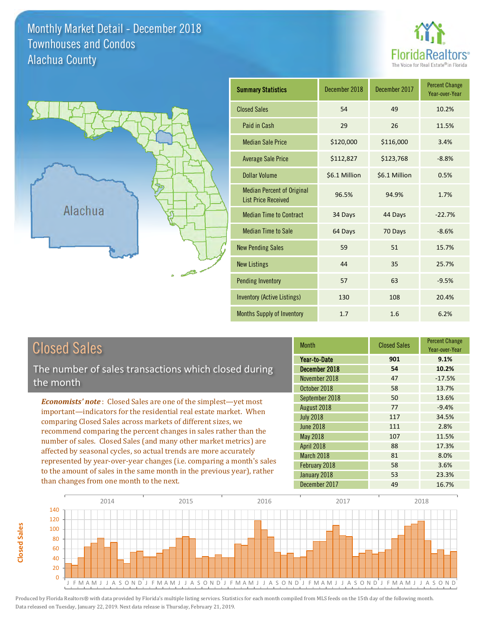#### Monthly Market Detail - December 2018 Alachua County Townhouses and Condos





| <b>Summary Statistics</b>                                       | December 2018 | December 2017 | <b>Percent Change</b><br>Year-over-Year |
|-----------------------------------------------------------------|---------------|---------------|-----------------------------------------|
| <b>Closed Sales</b>                                             | 54            | 49            | 10.2%                                   |
| Paid in Cash                                                    | 29            | 26            | 11.5%                                   |
| <b>Median Sale Price</b>                                        | \$120,000     | \$116,000     | 3.4%                                    |
| <b>Average Sale Price</b>                                       | \$112,827     | \$123,768     | $-8.8%$                                 |
| <b>Dollar Volume</b>                                            | \$6.1 Million | \$6.1 Million | 0.5%                                    |
| <b>Median Percent of Original</b><br><b>List Price Received</b> | 96.5%         | 94.9%         | 1.7%                                    |
| <b>Median Time to Contract</b>                                  | 34 Days       | 44 Days       | $-22.7%$                                |
| <b>Median Time to Sale</b>                                      | 64 Days       | 70 Days       | $-8.6%$                                 |
| <b>New Pending Sales</b>                                        | 59            | 51            | 15.7%                                   |
| <b>New Listings</b>                                             | 44            | 35            | 25.7%                                   |
| <b>Pending Inventory</b>                                        | 57            | 63            | $-9.5%$                                 |
| <b>Inventory (Active Listings)</b>                              | 130           | 108           | 20.4%                                   |
| Months Supply of Inventory                                      | 1.7           | 1.6           | 6.2%                                    |

**Closed Sales**

**Closed Sales** 

The number of sales transactions which closed during the month

*Economists' note* : Closed Sales are one of the simplest—yet most important—indicators for the residential real estate market. When comparing Closed Sales across markets of different sizes, we recommend comparing the percent changes in sales rather than the number of sales. Closed Sales (and many other market metrics) are affected by seasonal cycles, so actual trends are more accurately represented by year-over-year changes (i.e. comparing a month's sales to the amount of sales in the same month in the previous year), rather than changes from one month to the next.

| <b>Month</b>     | <b>Closed Sales</b> | <b>Percent Change</b><br>Year-over-Year |
|------------------|---------------------|-----------------------------------------|
| Year-to-Date     | 901                 | 9.1%                                    |
| December 2018    | 54                  | 10.2%                                   |
| November 2018    | 47                  | $-17.5%$                                |
| October 2018     | 58                  | 13.7%                                   |
| September 2018   | 50                  | 13.6%                                   |
| August 2018      | 77                  | $-9.4%$                                 |
| <b>July 2018</b> | 117                 | 34.5%                                   |
| <b>June 2018</b> | 111                 | 2.8%                                    |
| <b>May 2018</b>  | 107                 | 11.5%                                   |
| April 2018       | 88                  | 17.3%                                   |
| March 2018       | 81                  | 8.0%                                    |
| February 2018    | 58                  | 3.6%                                    |
| January 2018     | 53                  | 23.3%                                   |
| December 2017    | 49                  | 16.7%                                   |

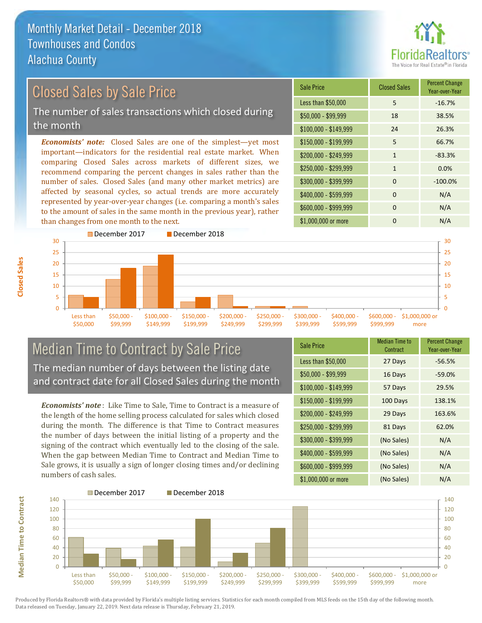**Closed Sales**



#### \$100,000 - \$149,999 24 26.3% Sale Price Closed Sales Percent Change Year-over-Year Less than \$50,000 5 -16.7% \$50,000 - \$99,999 18 38.5% \$150,000 - \$199,999 5 66.7%  $$200,000 - $249,999$  1 -83.3% *Economists' note:* Closed Sales are one of the simplest—yet most important—indicators for the residential real estate market. When comparing Closed Sales across markets of different sizes, we recommend comparing the percent changes in sales rather than the \$250,000 - \$299,999 1 0.0% Closed Sales by Sale Price The number of sales transactions which closed during the month

number of sales. Closed Sales (and many other market metrics) are affected by seasonal cycles, so actual trends are more accurately represented by year-over-year changes (i.e. comparing a month's sales to the amount of sales in the same month in the previous year), rather than changes from one month to the next.





#### Median Time to Contract by Sale Price The median number of days between the listing date and contract date for all Closed Sales during the month

*Economists' note* : Like Time to Sale, Time to Contract is a measure of the length of the home selling process calculated for sales which closed during the month. The difference is that Time to Contract measures the number of days between the initial listing of a property and the signing of the contract which eventually led to the closing of the sale. When the gap between Median Time to Contract and Median Time to Sale grows, it is usually a sign of longer closing times and/or declining numbers of cash sales.

| Sale Price            | Median Time to<br>Contract | <b>Percent Change</b><br>Year-over-Year |
|-----------------------|----------------------------|-----------------------------------------|
| Less than \$50,000    | 27 Days                    | $-56.5%$                                |
| $$50,000 - $99,999$   | 16 Days                    | $-59.0%$                                |
| $$100,000 - $149,999$ | 57 Days                    | 29.5%                                   |
| \$150,000 - \$199,999 | 100 Days                   | 138.1%                                  |
| \$200,000 - \$249,999 | 29 Days                    | 163.6%                                  |
| $$250,000 - $299,999$ | 81 Days                    | 62.0%                                   |
| \$300,000 - \$399,999 | (No Sales)                 | N/A                                     |
| \$400,000 - \$599,999 | (No Sales)                 | N/A                                     |
| \$600,000 - \$999,999 | (No Sales)                 | N/A                                     |
| \$1,000,000 or more   | (No Sales)                 | N/A                                     |

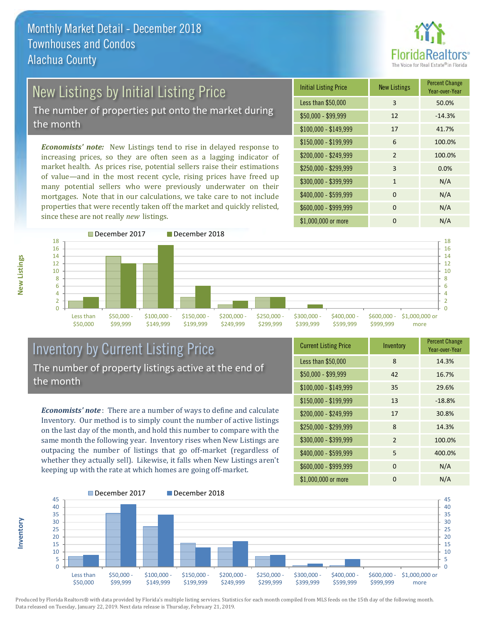

# New Listings by Initial Listing Price

The number of properties put onto the market during the month

*Economists' note:* New Listings tend to rise in delayed response to increasing prices, so they are often seen as a lagging indicator of market health. As prices rise, potential sellers raise their estimations of value—and in the most recent cycle, rising prices have freed up many potential sellers who were previously underwater on their mortgages. Note that in our calculations, we take care to not include properties that were recently taken off the market and quickly relisted, since these are not really *new* listings.





### Inventory by Current Listing Price The number of property listings active at the end of the month

*Economists' note* : There are a number of ways to define and calculate Inventory. Our method is to simply count the number of active listings on the last day of the month, and hold this number to compare with the same month the following year. Inventory rises when New Listings are outpacing the number of listings that go off-market (regardless of whether they actually sell). Likewise, it falls when New Listings aren't keeping up with the rate at which homes are going off-market.

**Inventory**

**New Listings**

| <b>Current Listing Price</b> | Inventory      | <b>Percent Change</b><br>Year-over-Year |
|------------------------------|----------------|-----------------------------------------|
| Less than \$50,000           | 8              | 14.3%                                   |
| $$50,000 - $99,999$          | 42             | 16.7%                                   |
| $$100,000 - $149,999$        | 35             | 29.6%                                   |
| $$150,000 - $199,999$        | 13             | $-18.8%$                                |
| \$200,000 - \$249,999        | 17             | 30.8%                                   |
| \$250,000 - \$299,999        | 8              | 14.3%                                   |
| \$300,000 - \$399,999        | $\overline{2}$ | 100.0%                                  |
| \$400,000 - \$599,999        | 5              | 400.0%                                  |
| \$600,000 - \$999,999        | $\Omega$       | N/A                                     |
| \$1,000,000 or more          | 0              | N/A                                     |

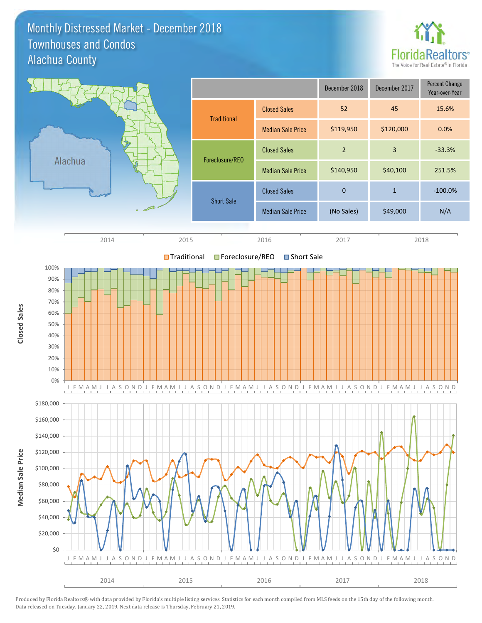#### Monthly Distressed Market - December 2018 Alachua County Townhouses and Condos



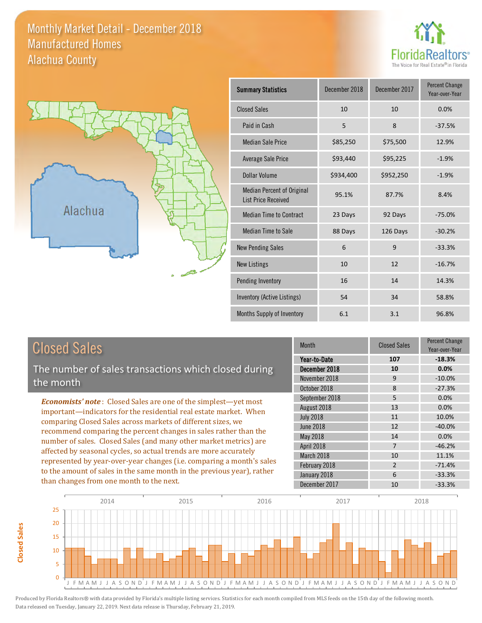#### Monthly Market Detail - December 2018 Alachua County Manufactured Homes





| <b>Summary Statistics</b>                                       | December 2018 | December 2017 | <b>Percent Change</b><br>Year-over-Year |
|-----------------------------------------------------------------|---------------|---------------|-----------------------------------------|
| <b>Closed Sales</b>                                             | 10            | 10            | 0.0%                                    |
| Paid in Cash                                                    | 5             | 8             | $-37.5%$                                |
| <b>Median Sale Price</b>                                        | \$85,250      | \$75,500      | 12.9%                                   |
| Average Sale Price                                              | \$93,440      | \$95,225      | $-1.9%$                                 |
| <b>Dollar Volume</b>                                            | \$934,400     | \$952,250     | $-1.9%$                                 |
| <b>Median Percent of Original</b><br><b>List Price Received</b> | 95.1%         | 87.7%         | 8.4%                                    |
| <b>Median Time to Contract</b>                                  | 23 Days       | 92 Days       | $-75.0%$                                |
| <b>Median Time to Sale</b>                                      | 88 Days       | 126 Days      | $-30.2%$                                |
| <b>New Pending Sales</b>                                        | 6             | 9             | $-33.3%$                                |
| <b>New Listings</b>                                             | 10            | 12            | $-16.7%$                                |
| Pending Inventory                                               | 16            | 14            | 14.3%                                   |
| Inventory (Active Listings)                                     | 54            | 34            | 58.8%                                   |
| <b>Months Supply of Inventory</b>                               | 6.1           | 3.1           | 96.8%                                   |

# Closed Sales

**Closed Sales**

**Closed Sales** 

The number of sales transactions which closed during the month

*Economists' note* : Closed Sales are one of the simplest—yet most important—indicators for the residential real estate market. When comparing Closed Sales across markets of different sizes, we recommend comparing the percent changes in sales rather than the number of sales. Closed Sales (and many other market metrics) are affected by seasonal cycles, so actual trends are more accurately represented by year-over-year changes (i.e. comparing a month's sales to the amount of sales in the same month in the previous year), rather than changes from one month to the next.

| <b>Month</b>     | <b>Closed Sales</b> | Percent Change<br>Year-over-Year |
|------------------|---------------------|----------------------------------|
| Year-to-Date     | 107                 | $-18.3%$                         |
| December 2018    | 10                  | 0.0%                             |
| November 2018    | 9                   | $-10.0%$                         |
| October 2018     | 8                   | $-27.3%$                         |
| September 2018   | 5                   | 0.0%                             |
| August 2018      | 13                  | 0.0%                             |
| <b>July 2018</b> | 11                  | 10.0%                            |
| <b>June 2018</b> | 12                  | $-40.0%$                         |
| May 2018         | 14                  | 0.0%                             |
| April 2018       | 7                   | $-46.2%$                         |
| March 2018       | 10                  | 11.1%                            |
| February 2018    | $\overline{2}$      | $-71.4%$                         |
| January 2018     | 6                   | $-33.3%$                         |
| December 2017    | 10                  | $-33.3%$                         |

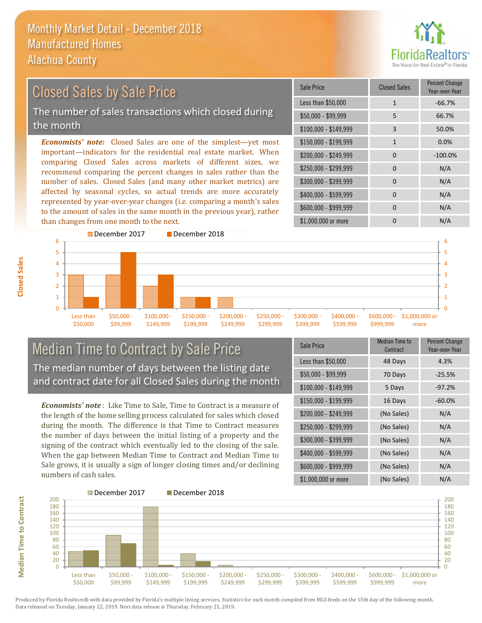

## *Economists' note:* Closed Sales are one of the simplest—yet most important—indicators for the residential real estate market. When Closed Sales by Sale Price The number of sales transactions which closed during the month

comparing Closed Sales across markets of different sizes, we recommend comparing the percent changes in sales rather than the number of sales. Closed Sales (and many other market metrics) are affected by seasonal cycles, so actual trends are more accurately represented by year-over-year changes (i.e. comparing a month's sales to the amount of sales in the same month in the previous year), rather than changes from one month to the next.





#### Median Time to Contract by Sale Price The median number of days between the listing date and contract date for all Closed Sales during the month

*Economists' note* : Like Time to Sale, Time to Contract is a measure of the length of the home selling process calculated for sales which closed during the month. The difference is that Time to Contract measures the number of days between the initial listing of a property and the signing of the contract which eventually led to the closing of the sale. When the gap between Median Time to Contract and Median Time to Sale grows, it is usually a sign of longer closing times and/or declining numbers of cash sales.

| <b>Sale Price</b>     | <b>Median Time to</b><br>Contract | <b>Percent Change</b><br>Year-over-Year |
|-----------------------|-----------------------------------|-----------------------------------------|
| Less than \$50,000    | 48 Days                           | 4.3%                                    |
| $$50,000 - $99,999$   | 70 Days                           | $-25.5%$                                |
| $$100,000 - $149,999$ | 5 Days                            | $-97.2%$                                |
| $$150,000 - $199,999$ | 16 Days                           | $-60.0%$                                |
| \$200,000 - \$249,999 | (No Sales)                        | N/A                                     |
| \$250,000 - \$299,999 | (No Sales)                        | N/A                                     |
| \$300,000 - \$399,999 | (No Sales)                        | N/A                                     |
| \$400,000 - \$599,999 | (No Sales)                        | N/A                                     |
| \$600,000 - \$999,999 | (No Sales)                        | N/A                                     |
| \$1,000,000 or more   | (No Sales)                        | N/A                                     |



Produced by Florida Realtors® with data provided by Florida's multiple listing services. Statistics for each month compiled from MLS feeds on the 15th day of the following month. Data released on Tuesday, January 22, 2019. Next data release is Thursday, February 21, 2019.

**Median Time to Contract**

**Median Time to Contract**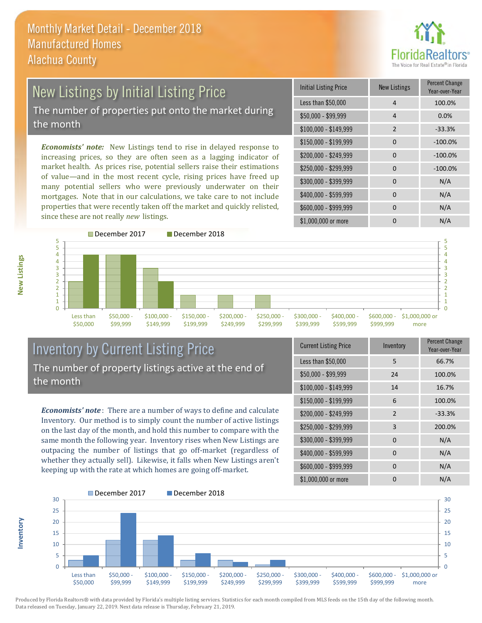

# New Listings by Initial Listing Price

The number of properties put onto the market during the month

*Economists' note:* New Listings tend to rise in delayed response to increasing prices, so they are often seen as a lagging indicator of market health. As prices rise, potential sellers raise their estimations of value—and in the most recent cycle, rising prices have freed up many potential sellers who were previously underwater on their mortgages. Note that in our calculations, we take care to not include properties that were recently taken off the market and quickly relisted, since these are not really *new* listings.

| <b>Initial Listing Price</b> | <b>New Listings</b> | <b>Percent Change</b><br>Year-over-Year |
|------------------------------|---------------------|-----------------------------------------|
| Less than \$50,000           | $\overline{4}$      | 100.0%                                  |
| $$50,000 - $99,999$          | 4                   | 0.0%                                    |
| $$100,000 - $149,999$        | $\overline{2}$      | $-33.3%$                                |
| $$150,000 - $199,999$        | $\Omega$            | $-100.0%$                               |
| \$200,000 - \$249,999        | $\Omega$            | $-100.0%$                               |
| \$250,000 - \$299,999        | 0                   | $-100.0%$                               |
| \$300,000 - \$399,999        | $\Omega$            | N/A                                     |
| \$400,000 - \$599,999        | $\Omega$            | N/A                                     |
| \$600,000 - \$999,999        | O                   | N/A                                     |
| \$1,000,000 or more          |                     | N/A                                     |



#### Inventory by Current Listing Price The number of property listings active at the end of the month

*Economists' note* : There are a number of ways to define and calculate Inventory. Our method is to simply count the number of active listings on the last day of the month, and hold this number to compare with the same month the following year. Inventory rises when New Listings are outpacing the number of listings that go off-market (regardless of whether they actually sell). Likewise, it falls when New Listings aren't keeping up with the rate at which homes are going off-market.

| <b>Current Listing Price</b> | Inventory      | Percent Change<br>Year-over-Year |
|------------------------------|----------------|----------------------------------|
| Less than \$50,000           | 5              | 66.7%                            |
| $$50,000 - $99,999$          | 24             | 100.0%                           |
| $$100,000 - $149,999$        | 14             | 16.7%                            |
| $$150,000 - $199,999$        | 6              | 100.0%                           |
| \$200,000 - \$249,999        | $\overline{2}$ | $-33.3%$                         |
| \$250,000 - \$299,999        | 3              | 200.0%                           |
| \$300,000 - \$399,999        | 0              | N/A                              |
| \$400,000 - \$599,999        | 0              | N/A                              |
| \$600,000 - \$999,999        | 0              | N/A                              |
| \$1,000,000 or more          | 0              | N/A                              |



Produced by Florida Realtors® with data provided by Florida's multiple listing services. Statistics for each month compiled from MLS feeds on the 15th day of the following month. Data released on Tuesday, January 22, 2019. Next data release is Thursday, February 21, 2019.

**Inventory**